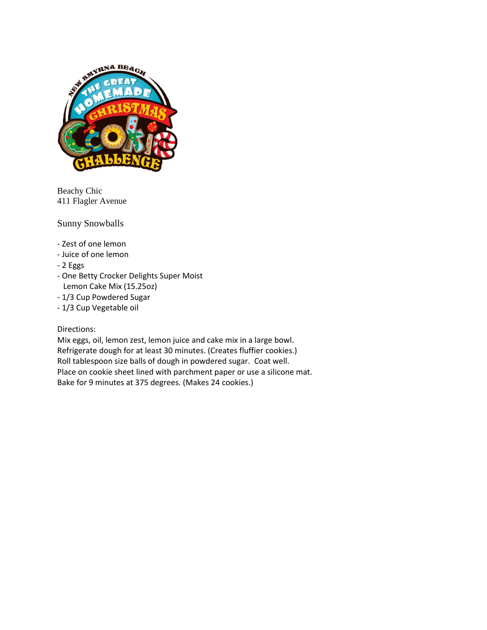

Beachy Chic 411 Flagler Avenue

Sunny Snowballs

- Zest of one lemon
- Juice of one lemon
- 2 Eggs
- One Betty Crocker Delights Super Moist Lemon Cake Mix (15.25oz)
- 1/3 Cup Powdered Sugar
- 1/3 Cup Vegetable oil

Directions:

Mix eggs, oil, lemon zest, lemon juice and cake mix in a large bowl. Refrigerate dough for at least 30 minutes. (Creates fluffier cookies.) Roll tablespoon size balls of dough in powdered sugar. Coat well. Place on cookie sheet lined with parchment paper or use a silicone mat. Bake for 9 minutes at 375 degrees. (Makes 24 cookies.)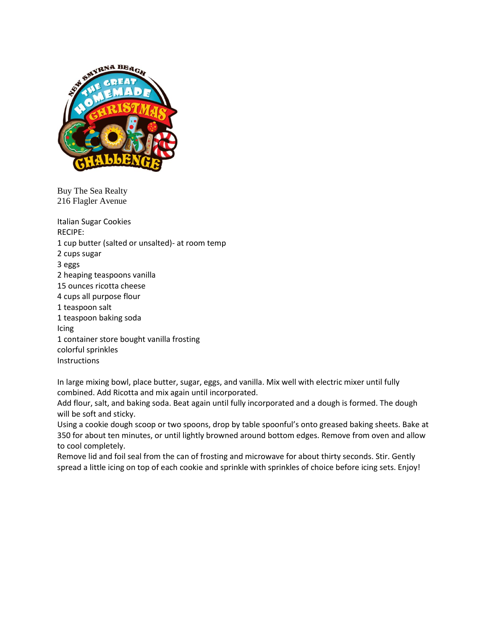

Buy The Sea Realty 216 Flagler Avenue

Italian Sugar Cookies RECIPE: 1 cup butter (salted or unsalted)- at room temp 2 cups sugar 3 eggs 2 heaping teaspoons vanilla 15 ounces ricotta cheese 4 cups all purpose flour 1 teaspoon salt 1 teaspoon baking soda Icing 1 container store bought vanilla frosting colorful sprinkles **Instructions** 

In large mixing bowl, place butter, sugar, eggs, and vanilla. Mix well with electric mixer until fully combined. Add Ricotta and mix again until incorporated.

Add flour, salt, and baking soda. Beat again until fully incorporated and a dough is formed. The dough will be soft and sticky.

Using a cookie dough scoop or two spoons, drop by table spoonful's onto greased baking sheets. Bake at 350 for about ten minutes, or until lightly browned around bottom edges. Remove from oven and allow to cool completely.

Remove lid and foil seal from the can of frosting and microwave for about thirty seconds. Stir. Gently spread a little icing on top of each cookie and sprinkle with sprinkles of choice before icing sets. Enjoy!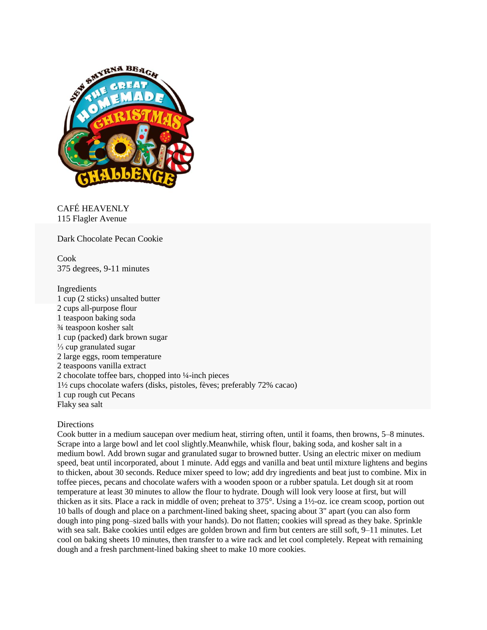

CAFÉ HEAVENLY 115 Flagler Avenue

Dark Chocolate Pecan Cookie

Cook 375 degrees, 9-11 minutes

Ingredients 1 cup (2 sticks) unsalted butter 2 cups all-purpose flour 1 teaspoon baking soda ¾ teaspoon kosher salt 1 cup (packed) dark brown sugar ⅓ cup granulated sugar 2 large eggs, room temperature 2 teaspoons vanilla extract 2 chocolate toffee bars, chopped into ¼-inch pieces 1½ cups chocolate wafers (disks, pistoles, fèves; preferably 72% cacao) 1 cup rough cut Pecans Flaky sea salt

### Directions

Cook butter in a medium saucepan over medium heat, stirring often, until it foams, then browns, 5–8 minutes. Scrape into a large bowl and let cool slightly.Meanwhile, whisk flour, baking soda, and kosher salt in a medium bowl. Add brown sugar and granulated sugar to browned butter. Using an electric mixer on medium speed, beat until incorporated, about 1 minute. Add eggs and vanilla and beat until mixture lightens and begins to thicken, about 30 seconds. Reduce mixer speed to low; add dry ingredients and beat just to combine. Mix in toffee pieces, pecans and chocolate wafers with a wooden spoon or a rubber spatula. Let dough sit at room temperature at least 30 minutes to allow the flour to hydrate. Dough will look very loose at first, but will thicken as it sits. Place a rack in middle of oven; preheat to 375°. Using a 1½-oz. ice cream scoop, portion out 10 balls of dough and place on a parchment-lined baking sheet, spacing about 3" apart (you can also form dough into ping pong–sized balls with your hands). Do not flatten; cookies will spread as they bake. Sprinkle with sea salt. Bake cookies until edges are golden brown and firm but centers are still soft, 9–11 minutes. Let cool on baking sheets 10 minutes, then transfer to a wire rack and let cool completely. Repeat with remaining dough and a fresh parchment-lined baking sheet to make 10 more cookies.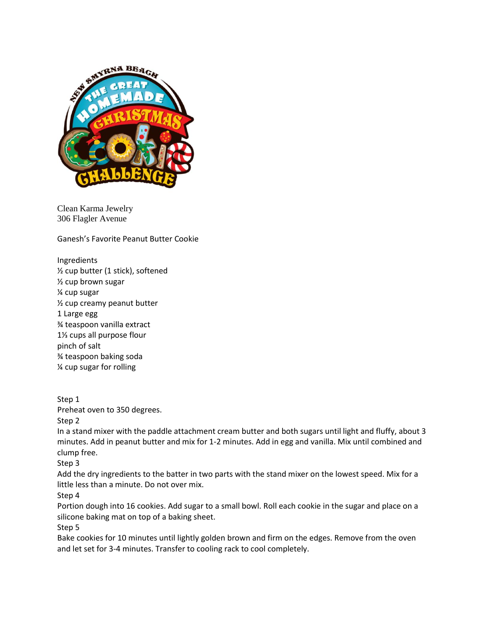

Clean Karma Jewelry 306 Flagler Avenue

Ganesh's Favorite Peanut Butter Cookie

Ingredients ½ cup butter (1 stick), softened ½ cup brown sugar ¼ cup sugar ½ cup creamy peanut butter 1 Large egg ¾ teaspoon vanilla extract 1⅓ cups all purpose flour pinch of salt ¾ teaspoon baking soda ¼ cup sugar for rolling

Step 1 Preheat oven to 350 degrees.

Step 2 In a stand mixer with the paddle attachment cream butter and both sugars until light and fluffy, about 3 minutes. Add in peanut butter and mix for 1-2 minutes. Add in egg and vanilla. Mix until combined and clump free.

Step 3

Add the dry ingredients to the batter in two parts with the stand mixer on the lowest speed. Mix for a little less than a minute. Do not over mix.

Step 4

Portion dough into 16 cookies. Add sugar to a small bowl. Roll each cookie in the sugar and place on a silicone baking mat on top of a baking sheet.

Step 5

Bake cookies for 10 minutes until lightly golden brown and firm on the edges. Remove from the oven and let set for 3-4 minutes. Transfer to cooling rack to cool completely.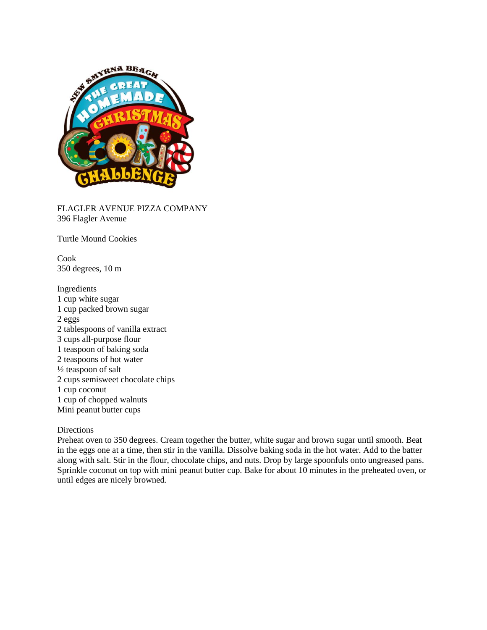

FLAGLER AVENUE PIZZA COMPANY 396 Flagler Avenue

Turtle Mound Cookies

Cook 350 degrees, 10 m

Ingredients 1 cup white sugar 1 cup packed brown sugar 2 eggs 2 tablespoons of vanilla extract 3 cups all-purpose flour 1 teaspoon of baking soda 2 teaspoons of hot water ½ teaspoon of salt 2 cups semisweet chocolate chips 1 cup coconut 1 cup of chopped walnuts Mini peanut butter cups

### Directions

Preheat oven to 350 degrees. Cream together the butter, white sugar and brown sugar until smooth. Beat in the eggs one at a time, then stir in the vanilla. Dissolve baking soda in the hot water. Add to the batter along with salt. Stir in the flour, chocolate chips, and nuts. Drop by large spoonfuls onto ungreased pans. Sprinkle coconut on top with mini peanut butter cup. Bake for about 10 minutes in the preheated oven, or until edges are nicely browned.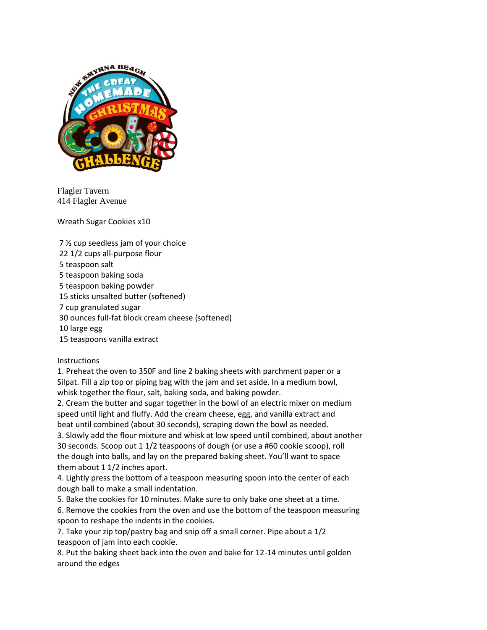

Flagler Tavern 414 Flagler Avenue

Wreath Sugar Cookies x10

7 ½ cup seedless jam of your choice 22 1/2 cups all-purpose flour 5 teaspoon salt 5 teaspoon baking soda 5 teaspoon baking powder 15 sticks unsalted butter (softened) 7 cup granulated sugar 30 ounces full-fat block cream cheese (softened) 10 large egg 15 teaspoons vanilla extract

**Instructions** 

1. Preheat the oven to 350F and line 2 baking sheets with parchment paper or a Silpat. Fill a zip top or piping bag with the jam and set aside. In a medium bowl, whisk together the flour, salt, baking soda, and baking powder.

2. Cream the butter and sugar together in the bowl of an electric mixer on medium speed until light and fluffy. Add the cream cheese, egg, and vanilla extract and beat until combined (about 30 seconds), scraping down the bowl as needed.

3. Slowly add the flour mixture and whisk at low speed until combined, about another 30 seconds. Scoop out 1 1/2 teaspoons of dough (or use a #60 cookie scoop), roll the dough into balls, and lay on the prepared baking sheet. You'll want to space them about 1 1/2 inches apart.

4. Lightly press the bottom of a teaspoon measuring spoon into the center of each dough ball to make a small indentation.

5. Bake the cookies for 10 minutes. Make sure to only bake one sheet at a time.

6. Remove the cookies from the oven and use the bottom of the teaspoon measuring spoon to reshape the indents in the cookies.

7. Take your zip top/pastry bag and snip off a small corner. Pipe about a 1/2 teaspoon of jam into each cookie.

8. Put the baking sheet back into the oven and bake for 12-14 minutes until golden around the edges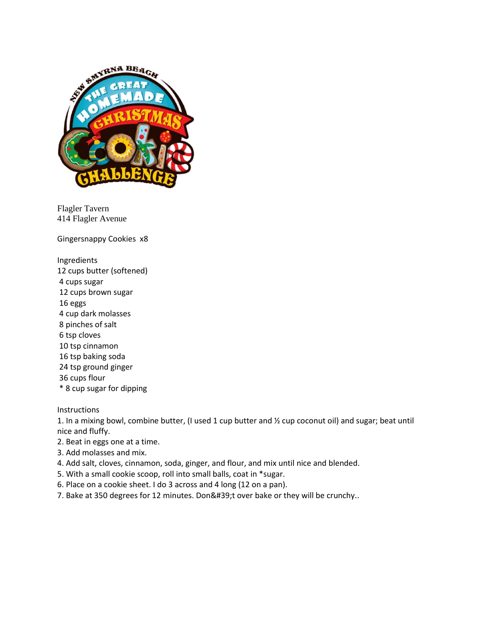

Flagler Tavern 414 Flagler Avenue

Gingersnappy Cookies x8

Ingredients 12 cups butter (softened) 4 cups sugar 12 cups brown sugar 16 eggs 4 cup dark molasses 8 pinches of salt 6 tsp cloves 10 tsp cinnamon 16 tsp baking soda 24 tsp ground ginger 36 cups flour \* 8 cup sugar for dipping

**Instructions** 

1. In a mixing bowl, combine butter, (I used 1 cup butter and ½ cup coconut oil) and sugar; beat until nice and fluffy.

- 2. Beat in eggs one at a time.
- 3. Add molasses and mix.
- 4. Add salt, cloves, cinnamon, soda, ginger, and flour, and mix until nice and blended.
- 5. With a small cookie scoop, roll into small balls, coat in \*sugar.
- 6. Place on a cookie sheet. I do 3 across and 4 long (12 on a pan).
- 7. Bake at 350 degrees for 12 minutes. Don't over bake or they will be crunchy..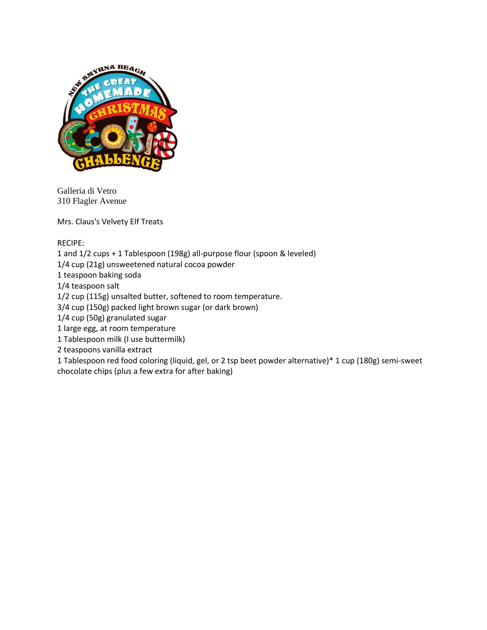

Galleria di Vetro 310 Flagler Avenue

Mrs. Claus's Velvety Elf Treats

RECIPE:

1 and 1/2 cups + 1 Tablespoon (198g) all-purpose flour (spoon & leveled)

1/4 cup (21g) unsweetened natural cocoa powder

1 teaspoon baking soda

1/4 teaspoon salt

1/2 cup (115g) unsalted butter, softened to room temperature.

3/4 cup (150g) packed light brown sugar (or dark brown)

1/4 cup (50g) granulated sugar

1 large egg, at room temperature

1 Tablespoon milk (I use buttermilk)

2 teaspoons vanilla extract

1 Tablespoon red food coloring (liquid, gel, or 2 tsp beet powder alternative)\* 1 cup (180g) semi-sweet chocolate chips (plus a few extra for after baking)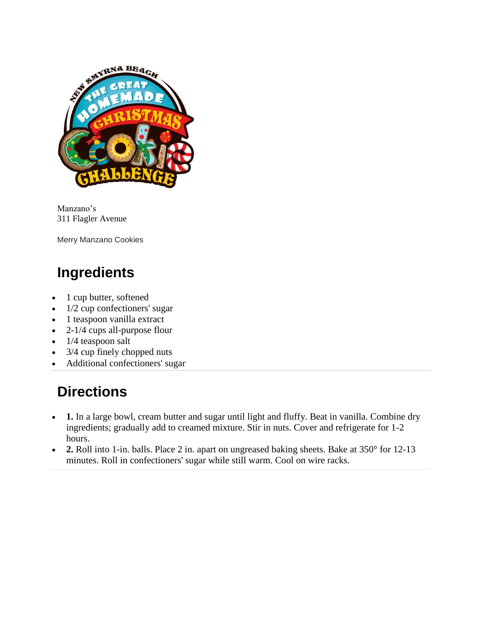

Manzano's 311 Flagler Avenue

Merry Manzano Cookies

# **Ingredients**

- 1 cup butter, softened
- $\bullet$  1/2 cup confectioners' sugar
- 1 teaspoon vanilla extract
- $\bullet$  2-1/4 cups all-purpose flour
- $\bullet$  1/4 teaspoon salt
- 3/4 cup finely chopped nuts
- Additional confectioners' sugar

## **Directions**

- 1. In a large bowl, cream butter and sugar until light and fluffy. Beat in vanilla. Combine dry ingredients; gradually add to creamed mixture. Stir in nuts. Cover and refrigerate for 1-2 hours.
- 2. Roll into 1-in. balls. Place 2 in. apart on ungreased baking sheets. Bake at 350° for 12-13 minutes. Roll in confectioners' sugar while still warm. Cool on wire racks.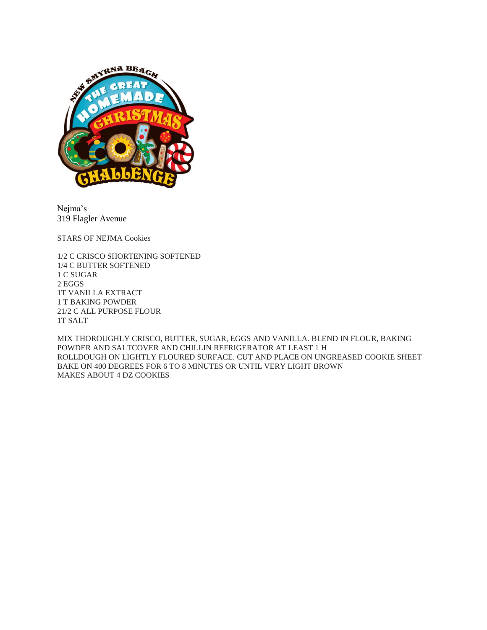

Nejma's 319 Flagler Avenue

STARS OF NEJMA Cookies

1/2 C CRISCO SHORTENING SOFTENED 1/4 C BUTTER SOFTENED 1 C SUGAR 2 EGGS 1T VANILLA EXTRACT 1 T BAKING POWDER 21/2 C ALL PURPOSE FLOUR 1T SALT

MIX THOROUGHLY CRISCO, BUTTER, SUGAR, EGGS AND VANILLA. BLEND IN FLOUR, BAKING POWDER AND SALTCOVER AND CHILLIN REFRIGERATOR AT LEAST 1 H ROLLDOUGH ON LIGHTLY FLOURED SURFACE. CUT AND PLACE ON UNGREASED COOKIE SHEET BAKE ON 400 DEGREES FOR 6 TO 8 MINUTES OR UNTIL VERY LIGHT BROWN MAKES ABOUT 4 DZ COOKIES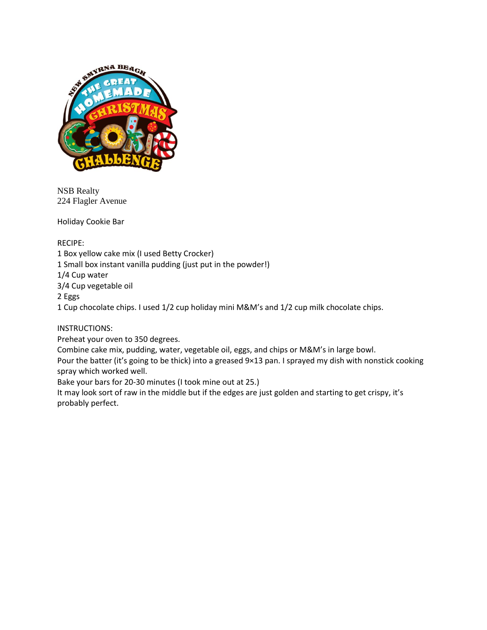

NSB Realty 224 Flagler Avenue

Holiday Cookie Bar

RECIPE: 1 Box yellow cake mix (I used Betty Crocker) 1 Small box instant vanilla pudding (just put in the powder!) 1/4 Cup water 3/4 Cup vegetable oil 2 Eggs 1 Cup chocolate chips. I used 1/2 cup holiday mini M&M's and 1/2 cup milk chocolate chips.

INSTRUCTIONS:

Preheat your oven to 350 degrees.

Combine cake mix, pudding, water, vegetable oil, eggs, and chips or M&M's in large bowl.

Pour the batter (it's going to be thick) into a greased 9×13 pan. I sprayed my dish with nonstick cooking spray which worked well.

Bake your bars for 20-30 minutes (I took mine out at 25.)

It may look sort of raw in the middle but if the edges are just golden and starting to get crispy, it's probably perfect.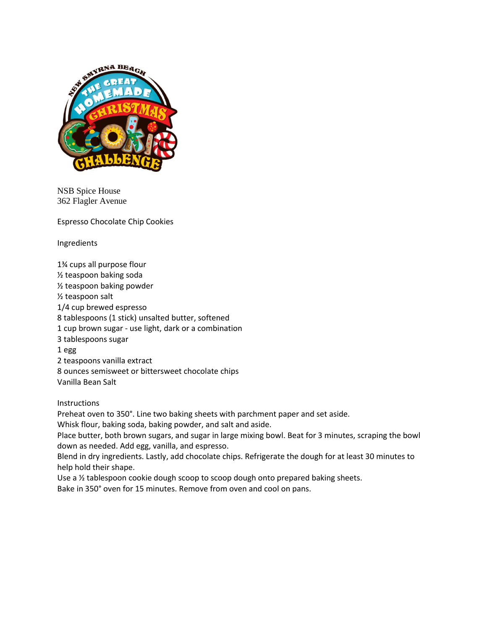

NSB Spice House 362 Flagler Avenue

Espresso Chocolate Chip Cookies

Ingredients

1¾ cups all purpose flour ½ teaspoon baking soda ½ teaspoon baking powder ½ teaspoon salt 1/4 cup brewed espresso 8 tablespoons (1 stick) unsalted butter, softened 1 cup brown sugar - use light, dark or a combination 3 tablespoons sugar 1 egg 2 teaspoons vanilla extract 8 ounces semisweet or bittersweet chocolate chips Vanilla Bean Salt

Instructions

Preheat oven to 350°. Line two baking sheets with parchment paper and set aside.

Whisk flour, baking soda, baking powder, and salt and aside.

Place butter, both brown sugars, and sugar in large mixing bowl. Beat for 3 minutes, scraping the bowl down as needed. Add egg, vanilla, and espresso.

Blend in dry ingredients. Lastly, add chocolate chips. Refrigerate the dough for at least 30 minutes to help hold their shape.

Use a ½ tablespoon cookie dough scoop to scoop dough onto prepared baking sheets.

Bake in 350° oven for 15 minutes. Remove from oven and cool on pans.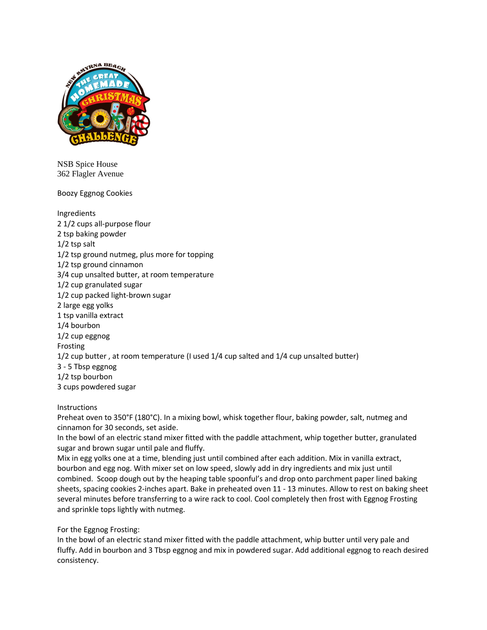

NSB Spice House 362 Flagler Avenue

Boozy Eggnog Cookies

Ingredients 2 1/2 cups all-purpose flour 2 tsp baking powder 1/2 tsp salt 1/2 tsp ground nutmeg, plus more for topping 1/2 tsp ground cinnamon 3/4 cup unsalted butter, at room temperature 1/2 cup granulated sugar 1/2 cup packed light-brown sugar 2 large egg yolks 1 tsp vanilla extract 1/4 bourbon 1/2 cup eggnog Frosting 1/2 cup butter , at room temperature (I used 1/4 cup salted and 1/4 cup unsalted butter) 3 - 5 Tbsp eggnog 1/2 tsp bourbon 3 cups powdered sugar

### **Instructions**

Preheat oven to 350°F (180°C). In a mixing bowl, whisk together flour, baking powder, salt, nutmeg and cinnamon for 30 seconds, set aside.

In the bowl of an electric stand mixer fitted with the paddle attachment, whip together butter, granulated sugar and brown sugar until pale and fluffy.

Mix in egg yolks one at a time, blending just until combined after each addition. Mix in vanilla extract, bourbon and egg nog. With mixer set on low speed, slowly add in dry ingredients and mix just until combined. Scoop dough out by the heaping table spoonful's and drop onto parchment paper lined baking sheets, spacing cookies 2-inches apart. Bake in preheated oven 11 - 13 minutes. Allow to rest on baking sheet several minutes before transferring to a wire rack to cool. Cool completely then frost with Eggnog Frosting and sprinkle tops lightly with nutmeg.

For the Eggnog Frosting:

In the bowl of an electric stand mixer fitted with the paddle attachment, whip butter until very pale and fluffy. Add in bourbon and 3 Tbsp eggnog and mix in powdered sugar. Add additional eggnog to reach desired consistency.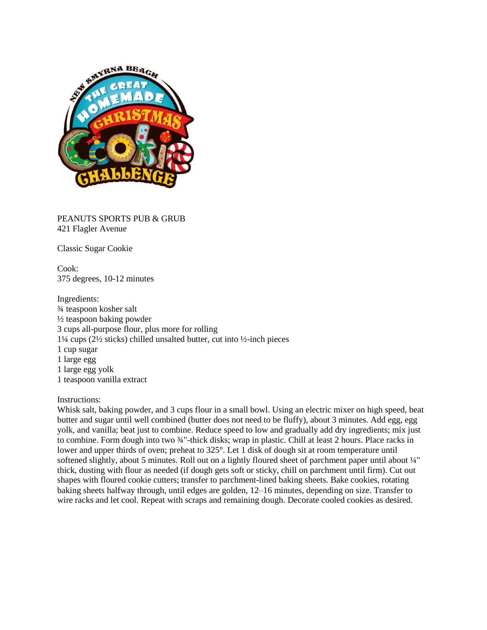

PEANUTS SPORTS PUB & GRUB 421 Flagler Avenue

Classic Sugar Cookie

Cook: 375 degrees, 10-12 minutes

Ingredients: ¾ teaspoon kosher salt ½ teaspoon baking powder 3 cups all-purpose flour, plus more for rolling 1¼ cups (2½ sticks) chilled unsalted butter, cut into ½-inch pieces 1 cup sugar 1 large egg 1 large egg yolk 1 teaspoon vanilla extract

### Instructions:

Whisk salt, baking powder, and 3 cups flour in a small bowl. Using an electric mixer on high speed, beat butter and sugar until well combined (butter does not need to be fluffy), about 3 minutes. Add egg, egg yolk, and vanilla; beat just to combine. Reduce speed to low and gradually add dry ingredients; mix just to combine. Form dough into two  $\frac{3}{4}$ "-thick disks; wrap in plastic. Chill at least 2 hours. Place racks in lower and upper thirds of oven; preheat to 325°. Let 1 disk of dough sit at room temperature until softened slightly, about 5 minutes. Roll out on a lightly floured sheet of parchment paper until about 1/4" thick, dusting with flour as needed (if dough gets soft or sticky, chill on parchment until firm). Cut out shapes with floured cookie cutters; transfer to parchment-lined baking sheets. Bake cookies, rotating baking sheets halfway through, until edges are golden, 12–16 minutes, depending on size. Transfer to wire racks and let cool. Repeat with scraps and remaining dough. Decorate cooled cookies as desired.